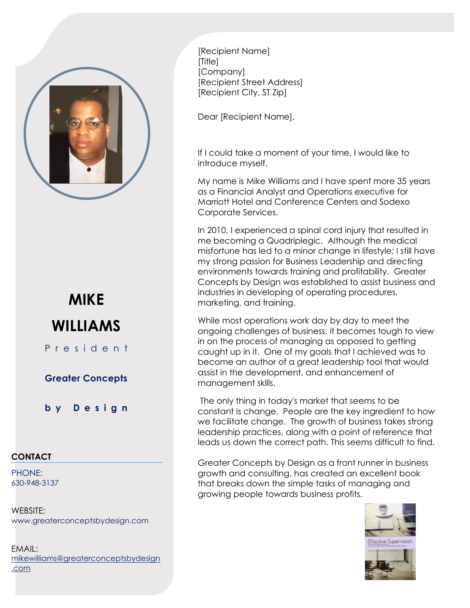

## MIKE WILLIAMS

P r e s i d e n t

Greater Concepts

b y D e s i g n

## **CONTACT**

PHONE: 630-948-3137

WEBSITE: www.greaterconceptsbydesign.com

EMAIL: mikewilliams@greaterconceptsbydesign .com

[Recipient Name] [Title] [Company] [Recipient Street Address] [Recipient City, ST Zip]

Dear [Recipient Name],

If I could take a moment of your time, I would like to introduce myself.

My name is Mike Williams and I have spent more 35 years as a Financial Analyst and Operations executive for Marriott Hotel and Conference Centers and Sodexo Corporate Services.

In 2010, I experienced a spinal cord injury that resulted in me becoming a Quadriplegic. Although the medical misfortune has led to a minor change in lifestyle; I still have my strong passion for Business Leadership and directing environments towards training and profitability. Greater Concepts by Design was established to assist business and industries in developing of operating procedures, marketing, and training.

While most operations work day by day to meet the ongoing challenges of business, it becomes tough to view in on the process of managing as opposed to getting caught up in it. One of my goals that I achieved was to become an author of a great leadership tool that would assist in the development, and enhancement of management skills.

 The only thing in today's market that seems to be constant is change. People are the key ingredient to how we facilitate change. The growth of business takes strong leadership practices, along with a point of reference that leads us down the correct path. This seems difficult to find.

Greater Concepts by Design as a front runner in business growth and consulting, has created an excellent book that breaks down the simple tasks of managing and growing people towards business profits.